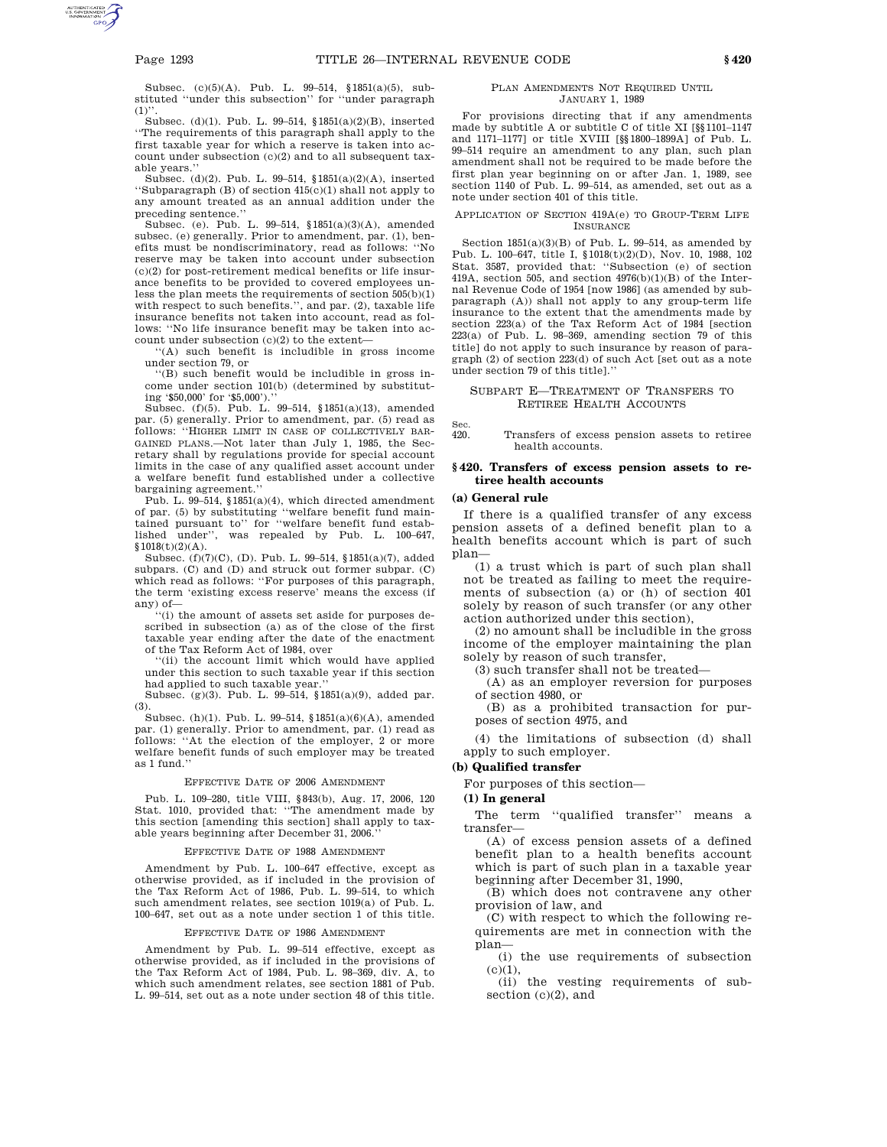Subsec. (c)(5)(A). Pub. L. 99–514, §1851(a)(5), substituted ''under this subsection'' for ''under paragraph  $(1)$ ".

Subsec. (d)(1). Pub. L. 99–514, §1851(a)(2)(B), inserted ''The requirements of this paragraph shall apply to the first taxable year for which a reserve is taken into account under subsection (c)(2) and to all subsequent taxable years.''

Subsec. (d)(2). Pub. L. 99–514, §1851(a)(2)(A), inserted ''Subparagraph (B) of section 415(c)(1) shall not apply to any amount treated as an annual addition under the preceding sentence.''

Subsec. (e). Pub. L. 99–514, §1851(a)(3)(A), amended subsec. (e) generally. Prior to amendment, par. (1), benefits must be nondiscriminatory, read as follows: ''No reserve may be taken into account under subsection (c)(2) for post-retirement medical benefits or life insurance benefits to be provided to covered employees unless the plan meets the requirements of section  $505(b)(1)$ with respect to such benefits.'', and par. (2), taxable life insurance benefits not taken into account, read as follows: ''No life insurance benefit may be taken into account under subsection (c)(2) to the extent—

'(A) such benefit is includible in gross income under section 79, or

''(B) such benefit would be includible in gross income under section 101(b) (determined by substituting '\$50,000' for '\$5,000').''

Subsec. (f)(5). Pub. L. 99–514, §1851(a)(13), amended par. (5) generally. Prior to amendment, par. (5) read as follows: ''HIGHER LIMIT IN CASE OF COLLECTIVELY BAR-GAINED PLANS.—Not later than July 1, 1985, the Secretary shall by regulations provide for special account limits in the case of any qualified asset account under a welfare benefit fund established under a collective bargaining agreement.''

Pub. L. 99–514, §1851(a)(4), which directed amendment of par. (5) by substituting ''welfare benefit fund maintained pursuant to'' for ''welfare benefit fund established under'', was repealed by Pub. L. 100–647,  $$1018(t)(2)(A).$ 

Subsec. (f)(7)(C), (D). Pub. L. 99–514, §1851(a)(7), added subpars. (C) and (D) and struck out former subpar. (C) which read as follows: ''For purposes of this paragraph, the term 'existing excess reserve' means the excess (if any) of—

''(i) the amount of assets set aside for purposes described in subsection (a) as of the close of the first taxable year ending after the date of the enactment of the Tax Reform Act of 1984, over

''(ii) the account limit which would have applied under this section to such taxable year if this section had applied to such taxable year.''

Subsec. (g)(3). Pub. L. 99–514, §1851(a)(9), added par. (3).

Subsec. (h)(1). Pub. L. 99–514, §1851(a)(6)(A), amended par. (1) generally. Prior to amendment, par. (1) read as follows: ''At the election of the employer, 2 or more welfare benefit funds of such employer may be treated as 1 fund.''

# EFFECTIVE DATE OF 2006 AMENDMENT

Pub. L. 109–280, title VIII, §843(b), Aug. 17, 2006, 120 Stat. 1010, provided that: ''The amendment made by this section [amending this section] shall apply to taxable years beginning after December 31, 2006.''

#### EFFECTIVE DATE OF 1988 AMENDMENT

Amendment by Pub. L. 100–647 effective, except as otherwise provided, as if included in the provision of the Tax Reform Act of 1986, Pub. L. 99–514, to which such amendment relates, see section 1019(a) of Pub. L. 100–647, set out as a note under section 1 of this title.

#### EFFECTIVE DATE OF 1986 AMENDMENT

Amendment by Pub. L. 99–514 effective, except as otherwise provided, as if included in the provisions of the Tax Reform Act of 1984, Pub. L. 98–369, div. A, to which such amendment relates, see section 1881 of Pub. L. 99–514, set out as a note under section 48 of this title.

#### PLAN AMENDMENTS NOT REQUIRED UNTIL JANUARY 1, 1989

For provisions directing that if any amendments made by subtitle A or subtitle C of title XI [§§1101–1147 and 1171–1177] or title XVIII [§§1800–1899A] of Pub. L. 99–514 require an amendment to any plan, such plan amendment shall not be required to be made before the first plan year beginning on or after Jan. 1, 1989, see section 1140 of Pub. L. 99–514, as amended, set out as a note under section 401 of this title.

### APPLICATION OF SECTION 419A(e) TO GROUP-TERM LIFE INSURANCE

Section  $1851(a)(3)(B)$  of Pub. L. 99-514, as amended by Pub. L. 100–647, title I, §1018(t)(2)(D), Nov. 10, 1988, 102 Stat. 3587, provided that: ''Subsection (e) of section 419A, section 505, and section 4976(b)(1)(B) of the Internal Revenue Code of 1954 [now 1986] (as amended by subparagraph (A)) shall not apply to any group-term life insurance to the extent that the amendments made by section 223(a) of the Tax Reform Act of 1984 [section 223(a) of Pub. L. 98–369, amending section 79 of this title] do not apply to such insurance by reason of paragraph (2) of section 223(d) of such Act [set out as a note under section 79 of this title].''

## SUBPART E—TREATMENT OF TRANSFERS TO RETIREE HEALTH ACCOUNTS

Sec.<br>420. Transfers of excess pension assets to retiree health accounts.

## **§ 420. Transfers of excess pension assets to retiree health accounts**

#### **(a) General rule**

If there is a qualified transfer of any excess pension assets of a defined benefit plan to a health benefits account which is part of such plan—

(1) a trust which is part of such plan shall not be treated as failing to meet the requirements of subsection (a) or (h) of section 401 solely by reason of such transfer (or any other action authorized under this section),

(2) no amount shall be includible in the gross income of the employer maintaining the plan solely by reason of such transfer,

(3) such transfer shall not be treated—

(A) as an employer reversion for purposes of section 4980, or

(B) as a prohibited transaction for purposes of section 4975, and

(4) the limitations of subsection (d) shall apply to such employer.

# **(b) Qualified transfer**

For purposes of this section—

#### **(1) In general**

The term "qualified transfer" means a transfer—

(A) of excess pension assets of a defined benefit plan to a health benefits account which is part of such plan in a taxable year beginning after December 31, 1990,

(B) which does not contravene any other provision of law, and

(C) with respect to which the following requirements are met in connection with the plan—

(i) the use requirements of subsection  $(c)(1),$ 

(ii) the vesting requirements of subsection (c)(2), and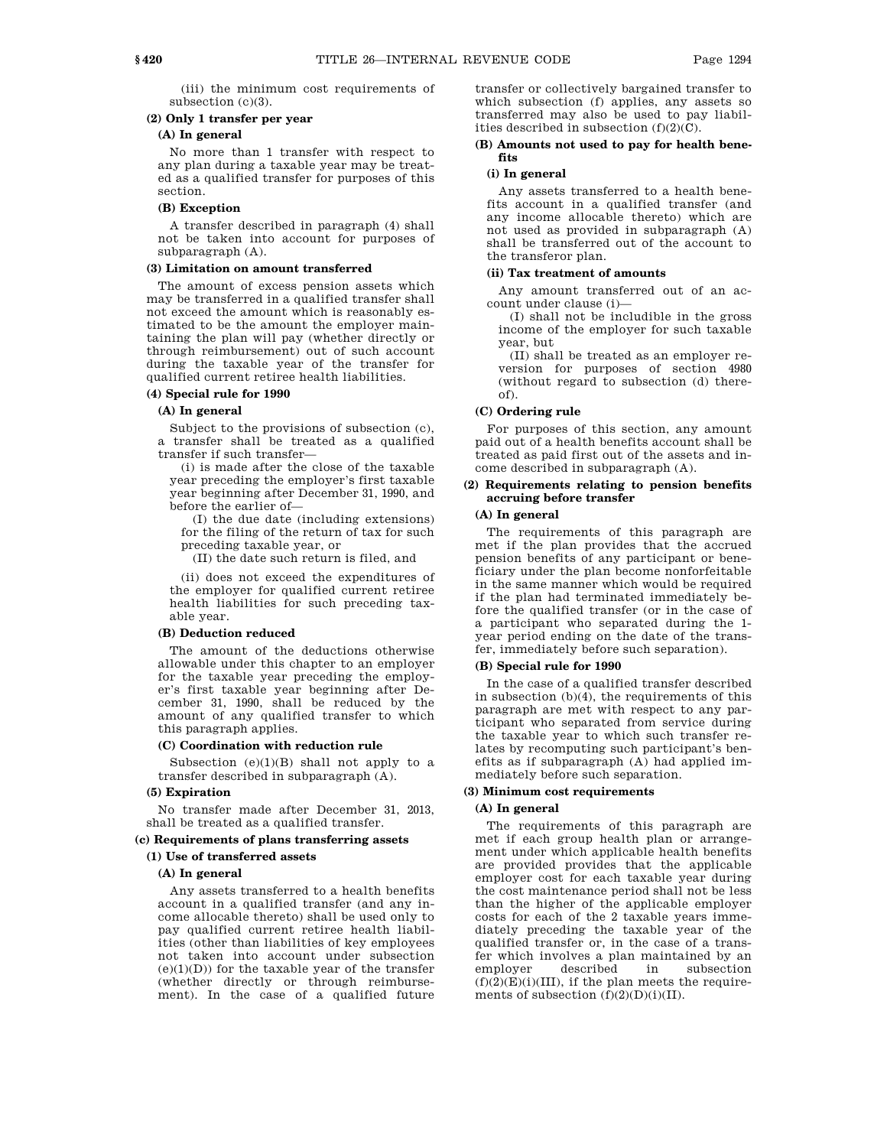(iii) the minimum cost requirements of subsection (c)(3).

# **(2) Only 1 transfer per year**

# **(A) In general**

No more than 1 transfer with respect to any plan during a taxable year may be treated as a qualified transfer for purposes of this section.

# **(B) Exception**

A transfer described in paragraph (4) shall not be taken into account for purposes of subparagraph (A).

# **(3) Limitation on amount transferred**

The amount of excess pension assets which may be transferred in a qualified transfer shall not exceed the amount which is reasonably estimated to be the amount the employer maintaining the plan will pay (whether directly or through reimbursement) out of such account during the taxable year of the transfer for qualified current retiree health liabilities.

#### **(4) Special rule for 1990**

### **(A) In general**

Subject to the provisions of subsection (c), a transfer shall be treated as a qualified transfer if such transfer—

(i) is made after the close of the taxable year preceding the employer's first taxable year beginning after December 31, 1990, and before the earlier of—

(I) the due date (including extensions) for the filing of the return of tax for such preceding taxable year, or

(II) the date such return is filed, and

(ii) does not exceed the expenditures of the employer for qualified current retiree health liabilities for such preceding taxable year.

#### **(B) Deduction reduced**

The amount of the deductions otherwise allowable under this chapter to an employer for the taxable year preceding the employer's first taxable year beginning after December 31, 1990, shall be reduced by the amount of any qualified transfer to which this paragraph applies.

## **(C) Coordination with reduction rule**

Subsection  $(e)(1)(B)$  shall not apply to a transfer described in subparagraph (A).

## **(5) Expiration**

No transfer made after December 31, 2013, shall be treated as a qualified transfer.

### **(c) Requirements of plans transferring assets**

# **(1) Use of transferred assets**

# **(A) In general**

Any assets transferred to a health benefits account in a qualified transfer (and any income allocable thereto) shall be used only to pay qualified current retiree health liabilities (other than liabilities of key employees not taken into account under subsection  $(e)(1)(D)$ ) for the taxable year of the transfer (whether directly or through reimbursement). In the case of a qualified future transfer or collectively bargained transfer to which subsection (f) applies, any assets so transferred may also be used to pay liabilities described in subsection (f)(2)(C).

## **(B) Amounts not used to pay for health benefits**

## **(i) In general**

Any assets transferred to a health benefits account in a qualified transfer (and any income allocable thereto) which are not used as provided in subparagraph (A) shall be transferred out of the account to the transferor plan.

### **(ii) Tax treatment of amounts**

Any amount transferred out of an account under clause (i)—

(I) shall not be includible in the gross income of the employer for such taxable year, but

(II) shall be treated as an employer reversion for purposes of section 4980 (without regard to subsection (d) thereof).

# **(C) Ordering rule**

For purposes of this section, any amount paid out of a health benefits account shall be treated as paid first out of the assets and income described in subparagraph (A).

# **(2) Requirements relating to pension benefits accruing before transfer**

## **(A) In general**

The requirements of this paragraph are met if the plan provides that the accrued pension benefits of any participant or beneficiary under the plan become nonforfeitable in the same manner which would be required if the plan had terminated immediately before the qualified transfer (or in the case of a participant who separated during the 1 year period ending on the date of the transfer, immediately before such separation).

#### **(B) Special rule for 1990**

In the case of a qualified transfer described in subsection (b)(4), the requirements of this paragraph are met with respect to any participant who separated from service during the taxable year to which such transfer relates by recomputing such participant's benefits as if subparagraph (A) had applied immediately before such separation.

# **(3) Minimum cost requirements**

### **(A) In general**

The requirements of this paragraph are met if each group health plan or arrangement under which applicable health benefits are provided provides that the applicable employer cost for each taxable year during the cost maintenance period shall not be less than the higher of the applicable employer costs for each of the 2 taxable years immediately preceding the taxable year of the qualified transfer or, in the case of a transfer which involves a plan maintained by an employer described in subsection  $(f)(2)(E)(i)(III)$ , if the plan meets the requirements of subsection  $(f)(2)(D)(i)(II)$ .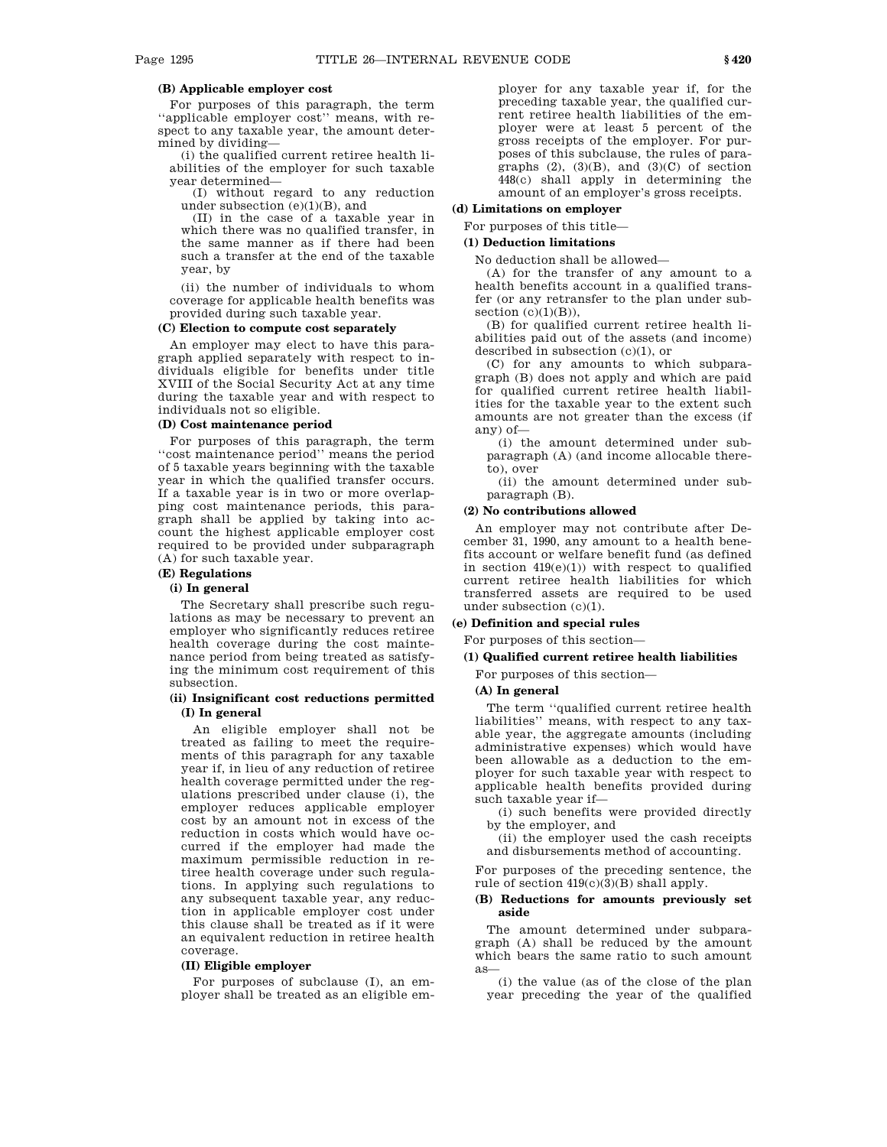# **(B) Applicable employer cost**

For purposes of this paragraph, the term ''applicable employer cost'' means, with respect to any taxable year, the amount determined by dividing—

(i) the qualified current retiree health liabilities of the employer for such taxable year determined—

(I) without regard to any reduction under subsection  $(e)(1)(B)$ , and

(II) in the case of a taxable year in which there was no qualified transfer, in the same manner as if there had been such a transfer at the end of the taxable year, by

(ii) the number of individuals to whom coverage for applicable health benefits was provided during such taxable year.

### **(C) Election to compute cost separately**

An employer may elect to have this paragraph applied separately with respect to individuals eligible for benefits under title XVIII of the Social Security Act at any time during the taxable year and with respect to individuals not so eligible.

# **(D) Cost maintenance period**

For purposes of this paragraph, the term ''cost maintenance period'' means the period of 5 taxable years beginning with the taxable year in which the qualified transfer occurs. If a taxable year is in two or more overlapping cost maintenance periods, this paragraph shall be applied by taking into account the highest applicable employer cost required to be provided under subparagraph (A) for such taxable year.

**(E) Regulations**

# **(i) In general**

The Secretary shall prescribe such regulations as may be necessary to prevent an employer who significantly reduces retiree health coverage during the cost maintenance period from being treated as satisfying the minimum cost requirement of this subsection.

# **(ii) Insignificant cost reductions permitted (I) In general**

An eligible employer shall not be treated as failing to meet the requirements of this paragraph for any taxable year if, in lieu of any reduction of retiree health coverage permitted under the regulations prescribed under clause (i), the employer reduces applicable employer cost by an amount not in excess of the reduction in costs which would have occurred if the employer had made the maximum permissible reduction in retiree health coverage under such regulations. In applying such regulations to any subsequent taxable year, any reduction in applicable employer cost under this clause shall be treated as if it were an equivalent reduction in retiree health coverage.

#### **(II) Eligible employer**

For purposes of subclause (I), an employer shall be treated as an eligible employer for any taxable year if, for the preceding taxable year, the qualified current retiree health liabilities of the employer were at least 5 percent of the gross receipts of the employer. For purposes of this subclause, the rules of paragraphs  $(2)$ ,  $(3)(B)$ , and  $(3)(C)$  of section 448(c) shall apply in determining the amount of an employer's gross receipts.

## **(d) Limitations on employer**

For purposes of this title—

# **(1) Deduction limitations**

No deduction shall be allowed—

(A) for the transfer of any amount to a health benefits account in a qualified transfer (or any retransfer to the plan under subsection  $(c)(1)(B)$ ),

(B) for qualified current retiree health liabilities paid out of the assets (and income) described in subsection (c)(1), or

(C) for any amounts to which subparagraph (B) does not apply and which are paid for qualified current retiree health liabilities for the taxable year to the extent such amounts are not greater than the excess (if any) of—

(i) the amount determined under subparagraph (A) (and income allocable thereto), over

(ii) the amount determined under subparagraph (B).

#### **(2) No contributions allowed**

An employer may not contribute after December 31, 1990, any amount to a health benefits account or welfare benefit fund (as defined in section  $419(e)(1)$ ) with respect to qualified current retiree health liabilities for which transferred assets are required to be used under subsection (c)(1).

**(e) Definition and special rules**

For purposes of this section—

#### **(1) Qualified current retiree health liabilities**

For purposes of this section—

## **(A) In general**

The term ''qualified current retiree health liabilities'' means, with respect to any taxable year, the aggregate amounts (including administrative expenses) which would have been allowable as a deduction to the employer for such taxable year with respect to applicable health benefits provided during such taxable year if—

(i) such benefits were provided directly by the employer, and

(ii) the employer used the cash receipts and disbursements method of accounting.

For purposes of the preceding sentence, the rule of section 419(c)(3)(B) shall apply.

# **(B) Reductions for amounts previously set aside**

The amount determined under subparagraph (A) shall be reduced by the amount which bears the same ratio to such amount as—

(i) the value (as of the close of the plan year preceding the year of the qualified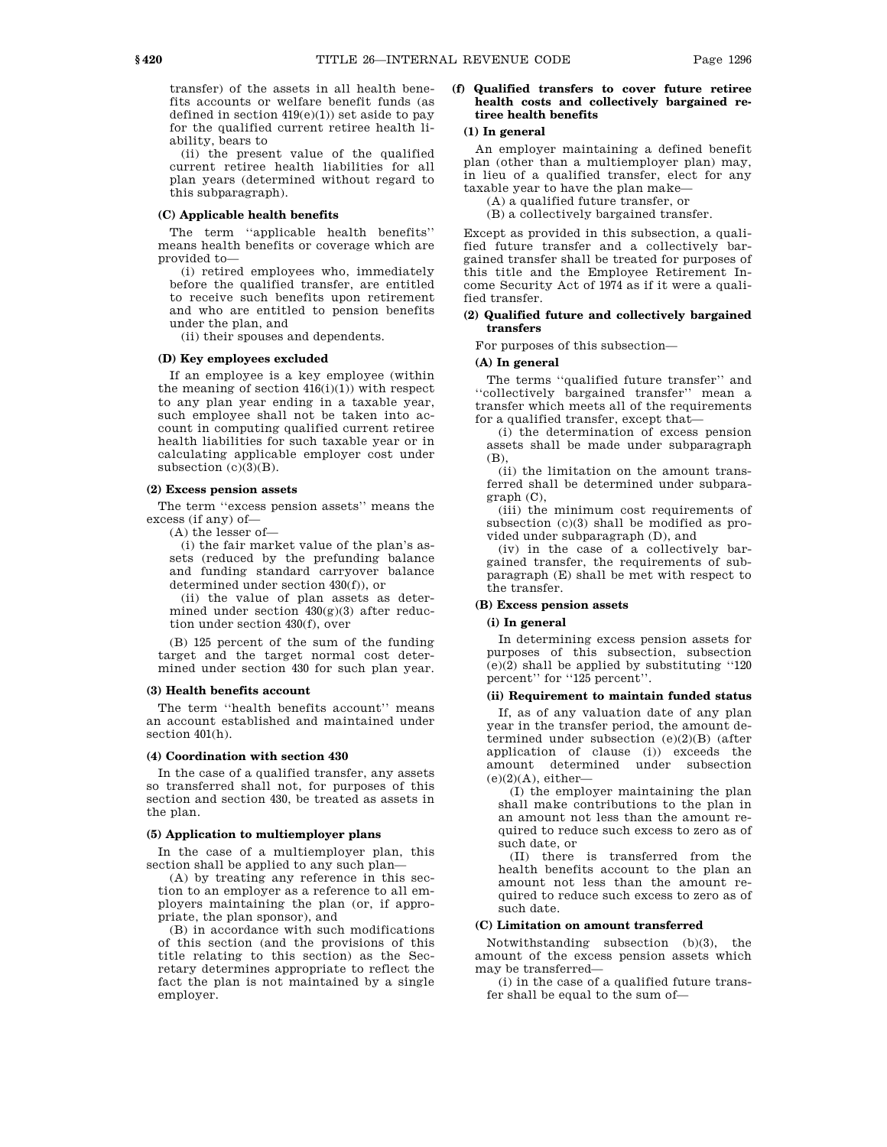transfer) of the assets in all health benefits accounts or welfare benefit funds (as defined in section  $419(e)(1)$ ) set aside to pay for the qualified current retiree health liability, bears to

(ii) the present value of the qualified current retiree health liabilities for all plan years (determined without regard to this subparagraph).

# **(C) Applicable health benefits**

The term ''applicable health benefits'' means health benefits or coverage which are provided to—

(i) retired employees who, immediately before the qualified transfer, are entitled to receive such benefits upon retirement and who are entitled to pension benefits under the plan, and

(ii) their spouses and dependents.

# **(D) Key employees excluded**

If an employee is a key employee (within the meaning of section  $416(i)(1)$ ) with respect to any plan year ending in a taxable year, such employee shall not be taken into account in computing qualified current retiree health liabilities for such taxable year or in calculating applicable employer cost under subsection  $(c)(3)(B)$ .

### **(2) Excess pension assets**

The term ''excess pension assets'' means the excess (if any) of—

(A) the lesser of—

(i) the fair market value of the plan's assets (reduced by the prefunding balance and funding standard carryover balance determined under section 430(f)), or

(ii) the value of plan assets as determined under section  $430(g)(3)$  after reduction under section 430(f), over

(B) 125 percent of the sum of the funding target and the target normal cost determined under section 430 for such plan year.

# **(3) Health benefits account**

The term ''health benefits account'' means an account established and maintained under section 401(h).

### **(4) Coordination with section 430**

In the case of a qualified transfer, any assets so transferred shall not, for purposes of this section and section 430, be treated as assets in the plan.

#### **(5) Application to multiemployer plans**

In the case of a multiemployer plan, this section shall be applied to any such plan—

(A) by treating any reference in this section to an employer as a reference to all employers maintaining the plan (or, if appropriate, the plan sponsor), and

(B) in accordance with such modifications of this section (and the provisions of this title relating to this section) as the Secretary determines appropriate to reflect the fact the plan is not maintained by a single employer.

## **(f) Qualified transfers to cover future retiree health costs and collectively bargained retiree health benefits**

## **(1) In general**

An employer maintaining a defined benefit plan (other than a multiemployer plan) may, in lieu of a qualified transfer, elect for any taxable year to have the plan make—

(A) a qualified future transfer, or

(B) a collectively bargained transfer.

Except as provided in this subsection, a qualified future transfer and a collectively bargained transfer shall be treated for purposes of this title and the Employee Retirement Income Security Act of 1974 as if it were a qualified transfer.

## **(2) Qualified future and collectively bargained transfers**

For purposes of this subsection—

# **(A) In general**

The terms ''qualified future transfer'' and ''collectively bargained transfer'' mean a transfer which meets all of the requirements for a qualified transfer, except that—

(i) the determination of excess pension assets shall be made under subparagraph (B),

(ii) the limitation on the amount transferred shall be determined under subparagraph (C),

(iii) the minimum cost requirements of subsection (c)(3) shall be modified as provided under subparagraph (D), and

(iv) in the case of a collectively bargained transfer, the requirements of subparagraph (E) shall be met with respect to the transfer.

# **(B) Excess pension assets**

# **(i) In general**

In determining excess pension assets for purposes of this subsection, subsection (e)(2) shall be applied by substituting ''120 percent'' for ''125 percent''.

# **(ii) Requirement to maintain funded status**

If, as of any valuation date of any plan year in the transfer period, the amount determined under subsection (e)(2)(B) (after application of clause (i)) exceeds the amount determined under subsection  $(e)(2)(A)$ , either-

(I) the employer maintaining the plan shall make contributions to the plan in an amount not less than the amount required to reduce such excess to zero as of such date, or

(II) there is transferred from the health benefits account to the plan an amount not less than the amount required to reduce such excess to zero as of such date.

# **(C) Limitation on amount transferred**

Notwithstanding subsection (b)(3), the amount of the excess pension assets which may be transferred—

(i) in the case of a qualified future transfer shall be equal to the sum of—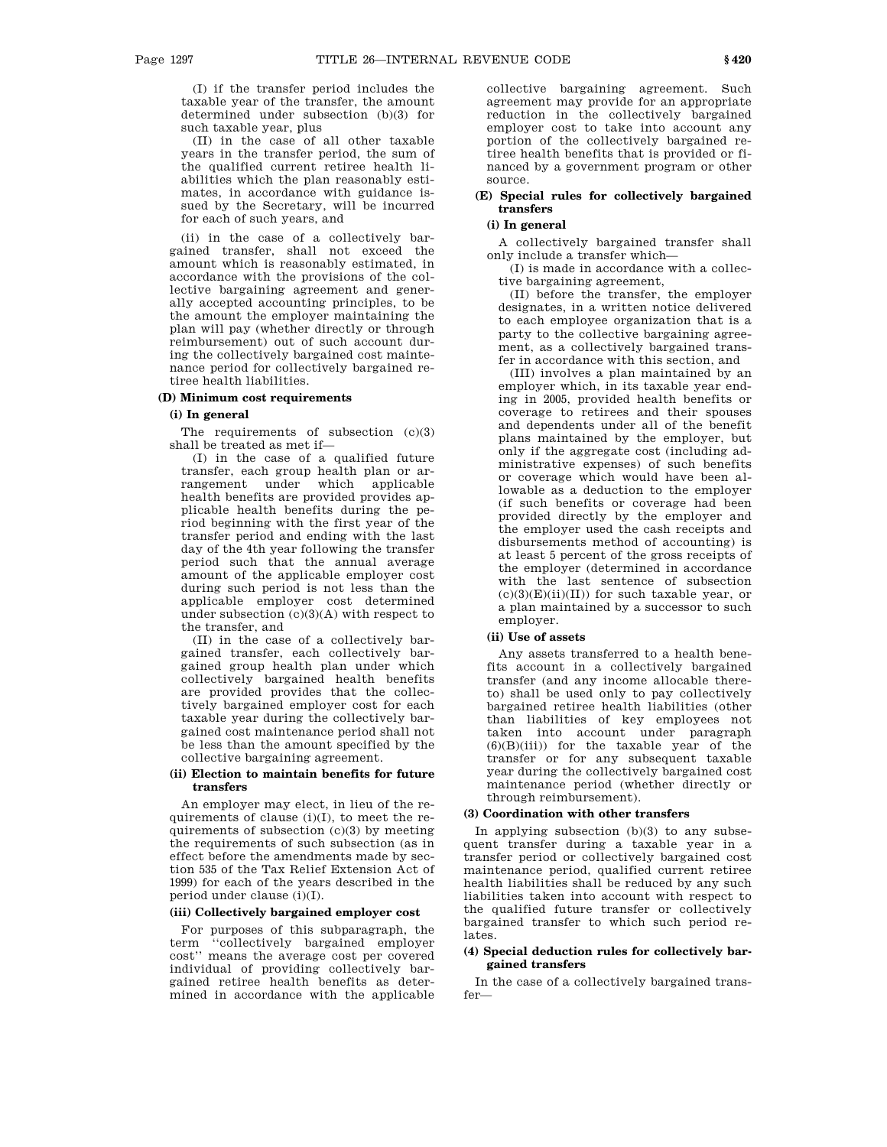(I) if the transfer period includes the taxable year of the transfer, the amount determined under subsection (b)(3) for such taxable year, plus

(II) in the case of all other taxable years in the transfer period, the sum of the qualified current retiree health liabilities which the plan reasonably estimates, in accordance with guidance issued by the Secretary, will be incurred for each of such years, and

(ii) in the case of a collectively bargained transfer, shall not exceed the amount which is reasonably estimated, in accordance with the provisions of the collective bargaining agreement and generally accepted accounting principles, to be the amount the employer maintaining the plan will pay (whether directly or through reimbursement) out of such account during the collectively bargained cost maintenance period for collectively bargained retiree health liabilities.

# **(D) Minimum cost requirements**

## **(i) In general**

The requirements of subsection (c)(3) shall be treated as met if—

(I) in the case of a qualified future transfer, each group health plan or arrangement under which applicable health benefits are provided provides applicable health benefits during the period beginning with the first year of the transfer period and ending with the last day of the 4th year following the transfer period such that the annual average amount of the applicable employer cost during such period is not less than the applicable employer cost determined under subsection  $(c)(3)(A)$  with respect to the transfer, and

(II) in the case of a collectively bargained transfer, each collectively bargained group health plan under which collectively bargained health benefits are provided provides that the collectively bargained employer cost for each taxable year during the collectively bargained cost maintenance period shall not be less than the amount specified by the collective bargaining agreement.

## **(ii) Election to maintain benefits for future transfers**

An employer may elect, in lieu of the requirements of clause (i)(I), to meet the requirements of subsection (c)(3) by meeting the requirements of such subsection (as in effect before the amendments made by section 535 of the Tax Relief Extension Act of 1999) for each of the years described in the period under clause (i)(I).

## **(iii) Collectively bargained employer cost**

For purposes of this subparagraph, the term ''collectively bargained employer cost'' means the average cost per covered individual of providing collectively bargained retiree health benefits as determined in accordance with the applicable

collective bargaining agreement. Such agreement may provide for an appropriate reduction in the collectively bargained employer cost to take into account any portion of the collectively bargained retiree health benefits that is provided or financed by a government program or other source.

# **(E) Special rules for collectively bargained transfers**

# **(i) In general**

A collectively bargained transfer shall only include a transfer which—

(I) is made in accordance with a collective bargaining agreement,

(II) before the transfer, the employer designates, in a written notice delivered to each employee organization that is a party to the collective bargaining agreement, as a collectively bargained transfer in accordance with this section, and

(III) involves a plan maintained by an employer which, in its taxable year ending in 2005, provided health benefits or coverage to retirees and their spouses and dependents under all of the benefit plans maintained by the employer, but only if the aggregate cost (including administrative expenses) of such benefits or coverage which would have been allowable as a deduction to the employer (if such benefits or coverage had been provided directly by the employer and the employer used the cash receipts and disbursements method of accounting) is at least 5 percent of the gross receipts of the employer (determined in accordance with the last sentence of subsection  $(c)(3)(E)(ii)(II))$  for such taxable year, or a plan maintained by a successor to such employer.

# **(ii) Use of assets**

Any assets transferred to a health benefits account in a collectively bargained transfer (and any income allocable thereto) shall be used only to pay collectively bargained retiree health liabilities (other than liabilities of key employees not taken into account under paragraph  $(6)(B)(iii)$  for the taxable year of the transfer or for any subsequent taxable year during the collectively bargained cost maintenance period (whether directly or through reimbursement).

# **(3) Coordination with other transfers**

In applying subsection  $(b)(3)$  to any subsequent transfer during a taxable year in a transfer period or collectively bargained cost maintenance period, qualified current retiree health liabilities shall be reduced by any such liabilities taken into account with respect to the qualified future transfer or collectively bargained transfer to which such period relates.

# **(4) Special deduction rules for collectively bargained transfers**

In the case of a collectively bargained transfer—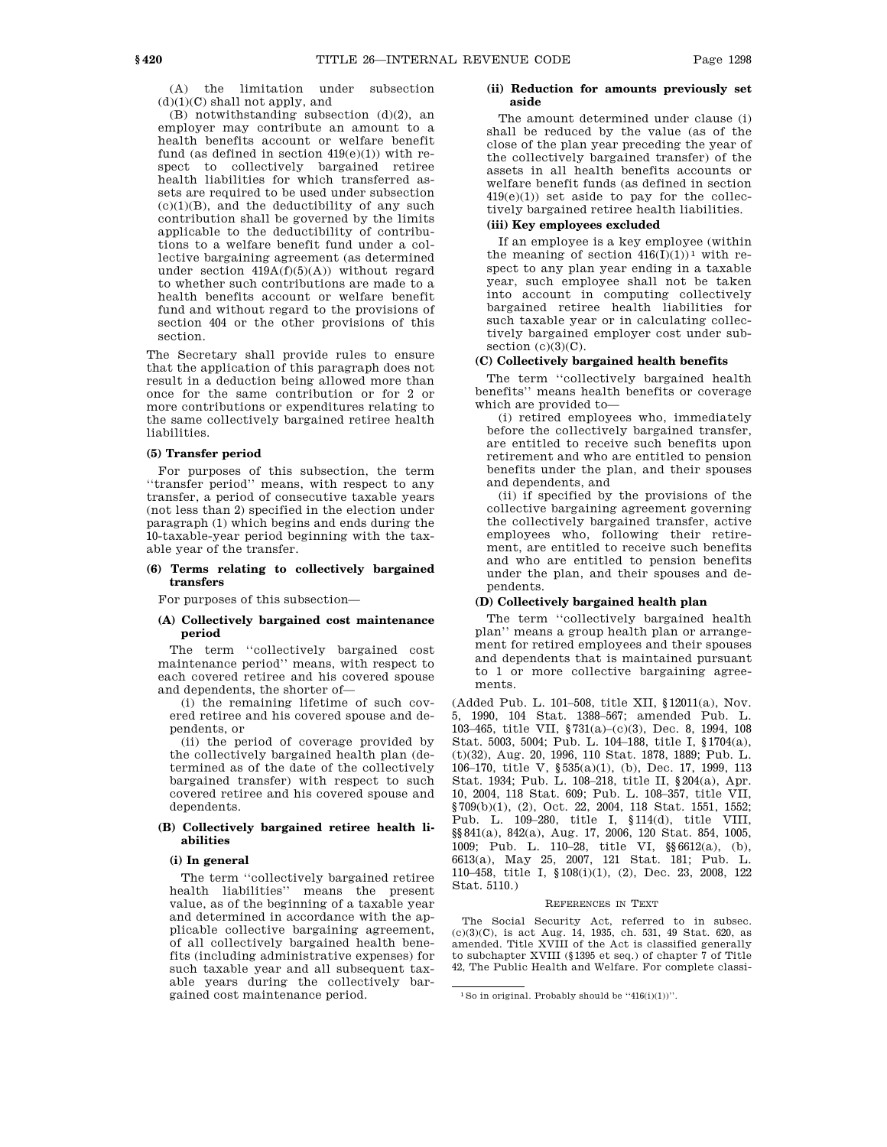(B) notwithstanding subsection  $(d)(2)$ , an employer may contribute an amount to a health benefits account or welfare benefit fund (as defined in section  $419(e)(1)$ ) with respect to collectively bargained retiree health liabilities for which transferred assets are required to be used under subsection  $(c)(1)(B)$ , and the deductibility of any such contribution shall be governed by the limits applicable to the deductibility of contributions to a welfare benefit fund under a collective bargaining agreement (as determined under section  $419A(f)(5)(A)$  without regard to whether such contributions are made to a health benefits account or welfare benefit fund and without regard to the provisions of section 404 or the other provisions of this section.

The Secretary shall provide rules to ensure that the application of this paragraph does not result in a deduction being allowed more than once for the same contribution or for 2 or more contributions or expenditures relating to the same collectively bargained retiree health liabilities.

#### **(5) Transfer period**

For purposes of this subsection, the term ''transfer period'' means, with respect to any transfer, a period of consecutive taxable years (not less than 2) specified in the election under paragraph (1) which begins and ends during the 10-taxable-year period beginning with the taxable year of the transfer.

#### **(6) Terms relating to collectively bargained transfers**

For purposes of this subsection—

## **(A) Collectively bargained cost maintenance period**

The term ''collectively bargained cost maintenance period'' means, with respect to each covered retiree and his covered spouse and dependents, the shorter of—

(i) the remaining lifetime of such covered retiree and his covered spouse and dependents, or

(ii) the period of coverage provided by the collectively bargained health plan (determined as of the date of the collectively bargained transfer) with respect to such covered retiree and his covered spouse and dependents.

## **(B) Collectively bargained retiree health liabilities**

# **(i) In general**

The term ''collectively bargained retiree health liabilities'' means the present value, as of the beginning of a taxable year and determined in accordance with the applicable collective bargaining agreement, of all collectively bargained health benefits (including administrative expenses) for such taxable year and all subsequent taxable years during the collectively bargained cost maintenance period.

## **(ii) Reduction for amounts previously set aside**

The amount determined under clause (i) shall be reduced by the value (as of the close of the plan year preceding the year of the collectively bargained transfer) of the assets in all health benefits accounts or welfare benefit funds (as defined in section  $419(e)(1)$  set aside to pay for the collectively bargained retiree health liabilities.

# **(iii) Key employees excluded**

If an employee is a key employee (within the meaning of section  $416(I)(1))^1$  with respect to any plan year ending in a taxable year, such employee shall not be taken into account in computing collectively bargained retiree health liabilities for such taxable year or in calculating collectively bargained employer cost under subsection  $(c)(3)(C)$ .

## **(C) Collectively bargained health benefits**

The term ''collectively bargained health benefits'' means health benefits or coverage which are provided to—

(i) retired employees who, immediately before the collectively bargained transfer, are entitled to receive such benefits upon retirement and who are entitled to pension benefits under the plan, and their spouses and dependents, and

(ii) if specified by the provisions of the collective bargaining agreement governing the collectively bargained transfer, active employees who, following their retirement, are entitled to receive such benefits and who are entitled to pension benefits under the plan, and their spouses and dependents.

# **(D) Collectively bargained health plan**

The term ''collectively bargained health plan'' means a group health plan or arrangement for retired employees and their spouses and dependents that is maintained pursuant to 1 or more collective bargaining agreements.

(Added Pub. L. 101–508, title XII, §12011(a), Nov. 5, 1990, 104 Stat. 1388–567; amended Pub. L. 103–465, title VII, §731(a)–(c)(3), Dec. 8, 1994, 108 Stat. 5003, 5004; Pub. L. 104–188, title I, §1704(a), (t)(32), Aug. 20, 1996, 110 Stat. 1878, 1889; Pub. L. 106–170, title V, §535(a)(1), (b), Dec. 17, 1999, 113 Stat. 1934; Pub. L. 108–218, title II, §204(a), Apr. 10, 2004, 118 Stat. 609; Pub. L. 108–357, title VII, §709(b)(1), (2), Oct. 22, 2004, 118 Stat. 1551, 1552; Pub. L. 109–280, title I, §114(d), title VIII, §§841(a), 842(a), Aug. 17, 2006, 120 Stat. 854, 1005, 1009; Pub. L. 110–28, title VI, §§6612(a), (b), 6613(a), May 25, 2007, 121 Stat. 181; Pub. L. 110–458, title I, §108(i)(1), (2), Dec. 23, 2008, 122 Stat. 5110.)

## REFERENCES IN TEXT

The Social Security Act, referred to in subsec. (c)(3)(C), is act Aug. 14, 1935, ch. 531, 49 Stat. 620, as amended. Title XVIII of the Act is classified generally to subchapter XVIII (§1395 et seq.) of chapter 7 of Title 42, The Public Health and Welfare. For complete classi-

 $1$  So in original. Probably should be  $(416(i)(1))$ ".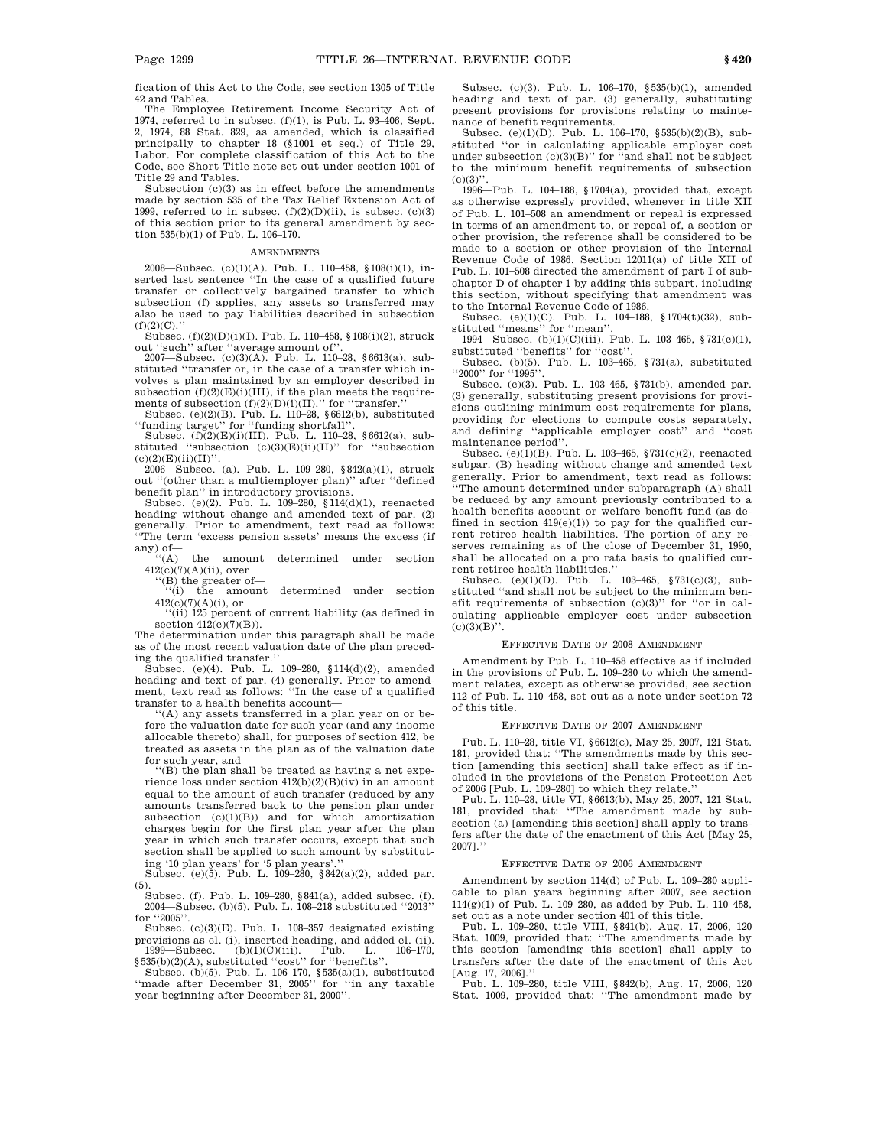fication of this Act to the Code, see section 1305 of Title 42 and Tables.

The Employee Retirement Income Security Act of 1974, referred to in subsec. (f)(1), is Pub. L. 93–406, Sept. 2, 1974, 88 Stat. 829, as amended, which is classified principally to chapter 18 (§1001 et seq.) of Title 29, Labor. For complete classification of this Act to the Code, see Short Title note set out under section 1001 of Title 29 and Tables.

Subsection  $(c)(3)$  as in effect before the amendments made by section 535 of the Tax Relief Extension Act of 1999, referred to in subsec.  $(f)(2)(D)(ii)$ , is subsec.  $(c)(3)$ of this section prior to its general amendment by sec-tion 535(b)(1) of Pub. L. 106–170.

#### **AMENDMENTS**

2008—Subsec.  $(c)(1)(A)$ . Pub. L. 110–458, §108(i)(1), inserted last sentence "In the case of a qualified future transfer or collectively bargained transfer to which subsection (f) applies, any assets so transferred may also be used to pay liabilities described in subsection  $(f)(2)(C)$ ."

Subsec. (f)(2)(D)(i)(I). Pub. L. 110–458, §108(i)(2), struck out ''such'' after ''average amount of''.

2007—Subsec. (c)(3)(A). Pub. L. 110–28, §6613(a), substituted ''transfer or, in the case of a transfer which involves a plan maintained by an employer described in subsection  $(f)(2)(E)(i)(III)$ , if the plan meets the require-<br>ments of subsection  $(f)(2)(D)(i)(II)$ .'' for "transfer.''

Subsec. (e)(2)(B). Pub. L. 110–28, §6612(b), substituted ''funding target'' for ''funding shortfall''.

Subsec. (f)(2)(E)(i)(III). Pub. L. 110–28, §6612(a), substituted "subsection (c)(3)(E)(ii)(II)" for "subsection  $(c)(2)(E)(ii)(II)'$ .

2006—Subsec. (a). Pub. L. 109–280, §842(a)(1), struck out ''(other than a multiemployer plan)'' after ''defined

benefit plan'' in introductory provisions. Subsec. (e)(2). Pub. L. 109–280, §114(d)(1), reenacted heading without change and amended text of par. (2) generally. Prior to amendment, text read as follows: ''The term 'excess pension assets' means the excess (if

any) of— ''(A) the amount determined under section  $412(c)(7)(A)(ii)$ , over

''(B) the greater of—

''(i) the amount determined under section  $412(c)(7)(A)(i)$ , or

''(ii) 125 percent of current liability (as defined in section  $412(c)(7)(B)$ ).

The determination under this paragraph shall be made as of the most recent valuation date of the plan preceding the qualified transfer.''

Subsec. (e)(4). Pub. L. 109–280, §114(d)(2), amended heading and text of par. (4) generally. Prior to amendment, text read as follows: ''In the case of a qualified transfer to a health benefits account—

''(A) any assets transferred in a plan year on or before the valuation date for such year (and any income allocable thereto) shall, for purposes of section 412, be treated as assets in the plan as of the valuation date for such year, and

''(B) the plan shall be treated as having a net experience loss under section 412(b)(2)(B)(iv) in an amount equal to the amount of such transfer (reduced by any amounts transferred back to the pension plan under subsection  $(c)(1)(B)$  and for which amortization charges begin for the first plan year after the plan year in which such transfer occurs, except that such section shall be applied to such amount by substituting '10 plan years' for '5 plan years'.

Subsec. (e)(5). Pub. L. 109–280, §842(a)(2), added par.

(5). Subsec. (f). Pub. L. 109–280, §841(a), added subsec. (f). 2004—Subsec. (b)(5). Pub. L. 108–218 substituted ''2013'' for ''2005''.

Subsec. (c)(3)(E). Pub. L. 108–357 designated existing provisions as cl. (i), inserted heading, and added cl. (ii). 1999—Subsec. (b)(1)(C)(iii). Pub. L. 106–170,

§535(b)(2)(A), substituted ''cost'' for ''benefits''.

Subsec. (b)(5). Pub. L. 106–170, §535(a)(1), substituted ''made after December 31, 2005'' for ''in any taxable year beginning after December 31, 2000''.

Subsec. (c)(3). Pub. L. 106–170, §535(b)(1), amended heading and text of par. (3) generally, substituting present provisions for provisions relating to maintenance of benefit requirements.

Subsec. (e)(1)(D). Pub. L. 106–170, §535(b)(2)(B), substituted ''or in calculating applicable employer cost under subsection  $(c)(3)(B)$ " for "and shall not be subject to the minimum benefit requirements of subsection  $(c)(3)$ ".

1996—Pub. L. 104–188, §1704(a), provided that, except as otherwise expressly provided, whenever in title XII of Pub. L. 101–508 an amendment or repeal is expressed in terms of an amendment to, or repeal of, a section or other provision, the reference shall be considered to be made to a section or other provision of the Internal Revenue Code of 1986. Section 12011(a) of title XII of Pub. L. 101–508 directed the amendment of part I of subchapter D of chapter 1 by adding this subpart, including this section, without specifying that amendment was to the Internal Revenue Code of 1986.

Subsec. (e)(1)(C). Pub. L. 104-188, §1704(t)(32), substituted "means" for "mean'

1994—Subsec. (b)(1)(C)(iii). Pub. L. 103–465, §731(c)(1), substituted ''benefits'' for ''cost''.

Subsec. (b)(5). Pub. L. 103–465, §731(a), substituted ''2000'' for ''1995''.

Subsec. (c)(3). Pub. L. 103–465, §731(b), amended par. (3) generally, substituting present provisions for provisions outlining minimum cost requirements for plans, providing for elections to compute costs separately, and defining ''applicable employer cost'' and ''cost maintenance period''.

Subsec. (e)(1)(B). Pub. L. 103–465, §731(c)(2), reenacted subpar. (B) heading without change and amended text generally. Prior to amendment, text read as follows: ''The amount determined under subparagraph (A) shall be reduced by any amount previously contributed to a health benefits account or welfare benefit fund (as defined in section  $419(e)(1)$ ) to pay for the qualified current retiree health liabilities. The portion of any reserves remaining as of the close of December 31, 1990, shall be allocated on a pro rata basis to qualified current retiree health liabilities.''

Subsec. (e)(1)(D). Pub. L. 103–465, §731(c)(3), substituted ''and shall not be subject to the minimum benefit requirements of subsection (c)(3)'' for ''or in calculating applicable employer cost under subsection  $(c)(3)(B)'$ 

#### EFFECTIVE DATE OF 2008 AMENDMENT

Amendment by Pub. L. 110–458 effective as if included in the provisions of Pub. L. 109–280 to which the amendment relates, except as otherwise provided, see section 112 of Pub. L. 110–458, set out as a note under section 72 of this title.

#### EFFECTIVE DATE OF 2007 AMENDMENT

Pub. L. 110–28, title VI, §6612(c), May 25, 2007, 121 Stat. 181, provided that: ''The amendments made by this section [amending this section] shall take effect as if included in the provisions of the Pension Protection Act

of 2006 [Pub. L. 109–280] to which they relate.'' Pub. L. 110–28, title VI, §6613(b), May 25, 2007, 121 Stat. 181, provided that: ''The amendment made by subsection (a) [amending this section] shall apply to transfers after the date of the enactment of this Act [May 25, 2007].''

#### EFFECTIVE DATE OF 2006 AMENDMENT

Amendment by section 114(d) of Pub. L. 109–280 applicable to plan years beginning after 2007, see section 114(g)(1) of Pub. L. 109–280, as added by Pub. L. 110–458, set out as a note under section 401 of this title.

Pub. L. 109–280, title VIII, §841(b), Aug. 17, 2006, 120 Stat. 1009, provided that: ''The amendments made by this section [amending this section] shall apply to transfers after the date of the enactment of this Act [Aug. 17, 2006].

Pub. L. 109–280, title VIII, §842(b), Aug. 17, 2006, 120 Stat. 1009, provided that: ''The amendment made by